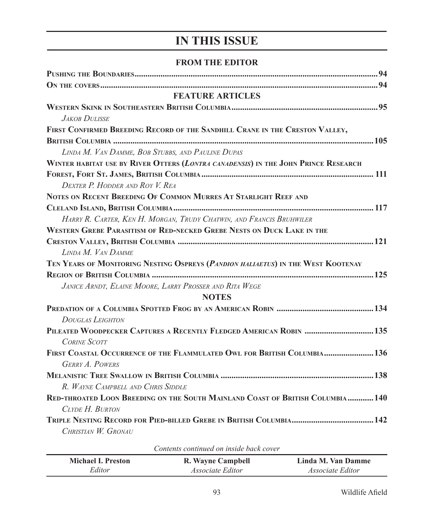## **IN THIS ISSUE**

## **FROM THE EDITOR**

| <b>FEATURE ARTICLES</b>                                                            |  |
|------------------------------------------------------------------------------------|--|
|                                                                                    |  |
| <b>JAKOB DULISSE</b>                                                               |  |
| FIRST CONFIRMED BREEDING RECORD OF THE SANDHILL CRANE IN THE CRESTON VALLEY,       |  |
|                                                                                    |  |
| LINDA M. VAN DAMME, BOB STUBBS, AND PAULINE DUPAS                                  |  |
| WINTER HABITAT USE BY RIVER OTTERS (LONTRA CANADENSIS) IN THE JOHN PRINCE RESEARCH |  |
|                                                                                    |  |
| DEXTER P. HODDER AND ROY V. REA                                                    |  |
| NOTES ON RECENT BREEDING OF COMMON MURRES AT STARLIGHT REEF AND                    |  |
|                                                                                    |  |
| HARRY R. CARTER, KEN H. MORGAN, TRUDY CHATWIN, AND FRANCIS BRUHWILER               |  |
| WESTERN GREBE PARASITISM OF RED-NECKED GREBE NESTS ON DUCK LAKE IN THE             |  |
|                                                                                    |  |
| LINDA M. VAN DAMME                                                                 |  |
| TEN YEARS OF MONITORING NESTING OSPREYS (PANDION HALIAETUS) IN THE WEST KOOTENAY   |  |
|                                                                                    |  |
| JANICE ARNDT, ELAINE MOORE, LARRY PROSSER AND RITA WEGE                            |  |
| <b>NOTES</b>                                                                       |  |
|                                                                                    |  |
| <b>DOUGLAS LEIGHTON</b>                                                            |  |
| PILEATED WOODPECKER CAPTURES A RECENTLY FLEDGED AMERICAN ROBIN  135                |  |
| <b>CORINE SCOTT</b>                                                                |  |
| FIRST COASTAL OCCURRENCE OF THE FLAMMULATED OWL FOR BRITISH COLUMBIA 136           |  |
| <b>GERRY A. POWERS</b>                                                             |  |
|                                                                                    |  |
| R. WAYNE CAMPBELL AND CHRIS SIDDLE                                                 |  |
| RED-THROATED LOON BREEDING ON THE SOUTH MAINLAND COAST OF BRITISH COLUMBIA140      |  |
| CLYDE H. BURTON                                                                    |  |
|                                                                                    |  |
| CHRISTIAN W. GRONAU                                                                |  |

|                           | Contents continued on inside back cover |                    |
|---------------------------|-----------------------------------------|--------------------|
| <b>Michael I. Preston</b> | R. Wayne Campbell                       | Linda M. Van Damme |
| Editor                    | <i>Associate Editor</i>                 | Associate Editor   |